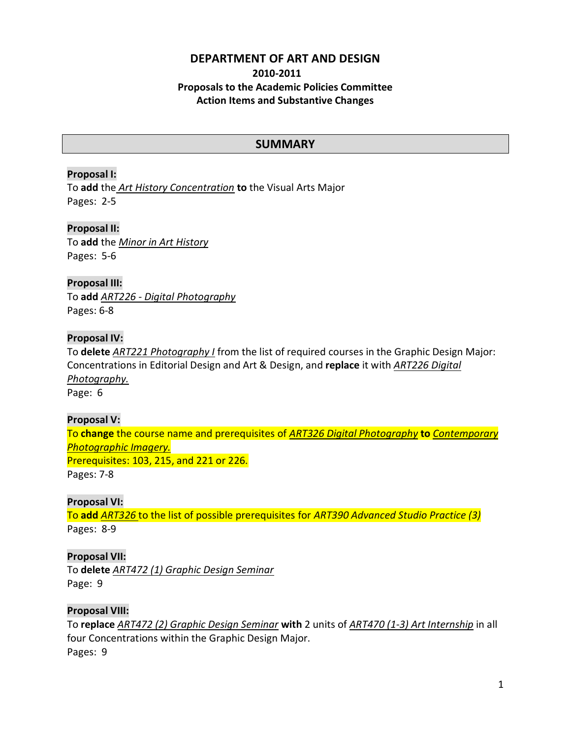# **DEPARTMENT OF ART AND DESIGN 2010-2011 Proposals to the Academic Policies Committee Action Items and Substantive Changes**

# **SUMMARY**

# **Proposal I:**

To **add** the *Art History Concentration* **to** the Visual Arts Major Pages: 2-5

## **Proposal II:**

To **add** the *Minor in Art History* Pages: 5-6

## **Proposal III:** To **add** *ART226 - Digital Photography*

Pages: 6-8

## **Proposal IV:**

To **delete** *ART221 Photography I* from the list of required courses in the Graphic Design Major: Concentrations in Editorial Design and Art & Design, and **replace** it with *ART226 Digital Photography.*  Page: 6

# **Proposal V:**

To **change** the course name and prerequisites of *ART326 Digital Photography* **to** *Contemporary Photographic Imagery.*  Prerequisites: 103, 215, and 221 or 226.

Pages: 7-8

# **Proposal VI:**

To **add** *ART326* to the list of possible prerequisites for *ART390 Advanced Studio Practice (3)* Pages: 8-9

# **Proposal VII:**

To **delete** *ART472 (1) Graphic Design Seminar* Page: 9

# **Proposal VIII:**

To **replace** *ART472 (2) Graphic Design Seminar* **with** 2 units of *ART470 (1-3) Art Internship* in all four Concentrations within the Graphic Design Major. Pages: 9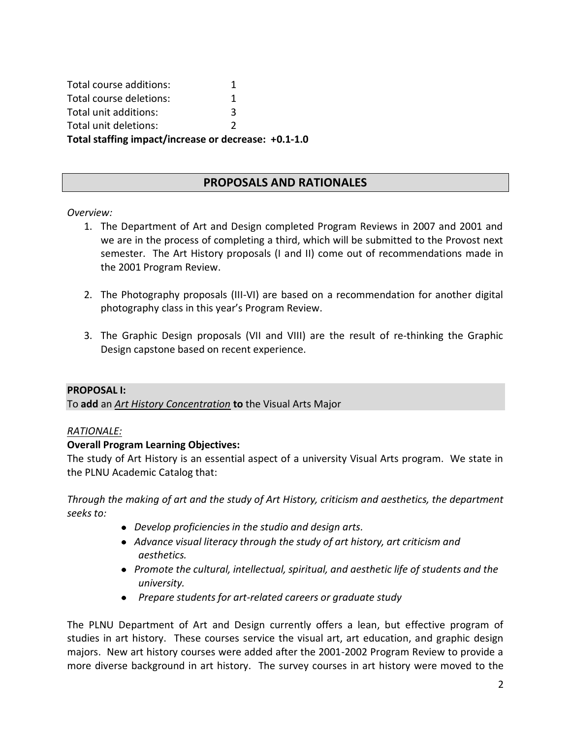Total course additions: 1 Total course deletions: 1 Total unit additions: 3 Total unit deletions: 2 **Total staffing impact/increase or decrease: +0.1-1.0**

# **PROPOSALS AND RATIONALES**

## *Overview:*

- 1. The Department of Art and Design completed Program Reviews in 2007 and 2001 and we are in the process of completing a third, which will be submitted to the Provost next semester. The Art History proposals (I and II) come out of recommendations made in the 2001 Program Review.
- 2. The Photography proposals (III-VI) are based on a recommendation for another digital photography class in this year's Program Review.
- 3. The Graphic Design proposals (VII and VIII) are the result of re-thinking the Graphic Design capstone based on recent experience.

### **PROPOSAL I:**

To **add** an *Art History Concentration* **to** the Visual Arts Major

## *RATIONALE:*

## **Overall Program Learning Objectives:**

The study of Art History is an essential aspect of a university Visual Arts program. We state in the PLNU Academic Catalog that:

*Through the making of art and the study of Art History, criticism and aesthetics, the department seeks to:*

- *Develop proficiencies in the studio and design arts.*
- *Advance visual literacy through the study of art history, art criticism and aesthetics.*
- *Promote the cultural, intellectual, spiritual, and aesthetic life of students and the university.*
- *Prepare students for art-related careers or graduate study*

The PLNU Department of Art and Design currently offers a lean, but effective program of studies in art history. These courses service the visual art, art education, and graphic design majors. New art history courses were added after the 2001-2002 Program Review to provide a more diverse background in art history. The survey courses in art history were moved to the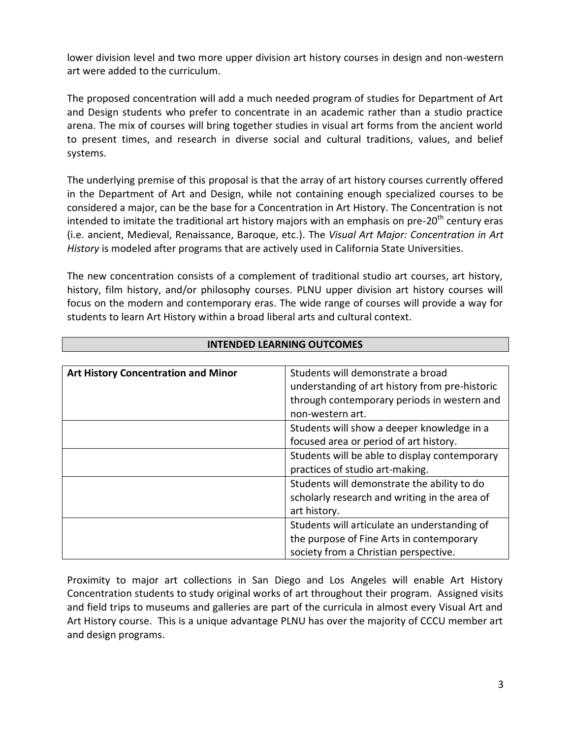lower division level and two more upper division art history courses in design and non-western art were added to the curriculum.

The proposed concentration will add a much needed program of studies for Department of Art and Design students who prefer to concentrate in an academic rather than a studio practice arena. The mix of courses will bring together studies in visual art forms from the ancient world to present times, and research in diverse social and cultural traditions, values, and belief systems.

The underlying premise of this proposal is that the array of art history courses currently offered in the Department of Art and Design, while not containing enough specialized courses to be considered a major, can be the base for a Concentration in Art History. The Concentration is not intended to imitate the traditional art history majors with an emphasis on pre-20<sup>th</sup> century eras (i.e. ancient, Medieval, Renaissance, Baroque, etc.). The *Visual Art Major: Concentration in Art History* is modeled after programs that are actively used in California State Universities.

The new concentration consists of a complement of traditional studio art courses, art history, history, film history, and/or philosophy courses. PLNU upper division art history courses will focus on the modern and contemporary eras. The wide range of courses will provide a way for students to learn Art History within a broad liberal arts and cultural context.

| <b>Art History Concentration and Minor</b> | Students will demonstrate a broad              |
|--------------------------------------------|------------------------------------------------|
|                                            | understanding of art history from pre-historic |
|                                            | through contemporary periods in western and    |
|                                            | non-western art.                               |
|                                            | Students will show a deeper knowledge in a     |
|                                            | focused area or period of art history.         |
|                                            | Students will be able to display contemporary  |
|                                            | practices of studio art-making.                |
|                                            | Students will demonstrate the ability to do    |
|                                            | scholarly research and writing in the area of  |
|                                            | art history.                                   |
|                                            | Students will articulate an understanding of   |
|                                            | the purpose of Fine Arts in contemporary       |
|                                            | society from a Christian perspective.          |

## **INTENDED LEARNING OUTCOMES**

Proximity to major art collections in San Diego and Los Angeles will enable Art History Concentration students to study original works of art throughout their program. Assigned visits and field trips to museums and galleries are part of the curricula in almost every Visual Art and Art History course. This is a unique advantage PLNU has over the majority of CCCU member art and design programs.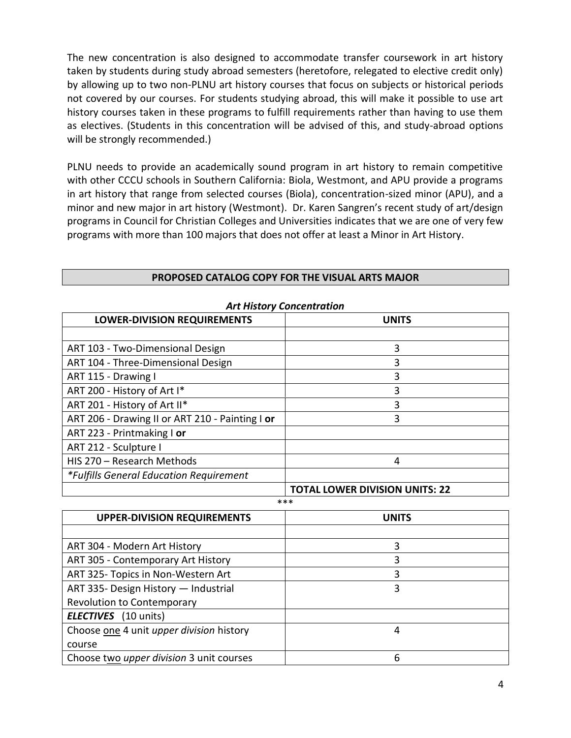The new concentration is also designed to accommodate transfer coursework in art history taken by students during study abroad semesters (heretofore, relegated to elective credit only) by allowing up to two non-PLNU art history courses that focus on subjects or historical periods not covered by our courses. For students studying abroad, this will make it possible to use art history courses taken in these programs to fulfill requirements rather than having to use them as electives. (Students in this concentration will be advised of this, and study-abroad options will be strongly recommended.)

PLNU needs to provide an academically sound program in art history to remain competitive with other CCCU schools in Southern California: Biola, Westmont, and APU provide a programs in art history that range from selected courses (Biola), concentration-sized minor (APU), and a minor and new major in art history (Westmont). Dr. Karen Sangren's recent study of art/design programs in Council for Christian Colleges and Universities indicates that we are one of very few programs with more than 100 majors that does not offer at least a Minor in Art History.

| ALLINSTORY CONCEITED UTON                       |                                       |  |  |
|-------------------------------------------------|---------------------------------------|--|--|
| <b>LOWER-DIVISION REQUIREMENTS</b>              | <b>UNITS</b>                          |  |  |
|                                                 |                                       |  |  |
| ART 103 - Two-Dimensional Design                | 3                                     |  |  |
| ART 104 - Three-Dimensional Design              | 3                                     |  |  |
| ART 115 - Drawing I                             | 3                                     |  |  |
| ART 200 - History of Art I*                     | 3                                     |  |  |
| ART 201 - History of Art II*                    | 3                                     |  |  |
| ART 206 - Drawing II or ART 210 - Painting I or | 3                                     |  |  |
| ART 223 - Printmaking I or                      |                                       |  |  |
| ART 212 - Sculpture I                           |                                       |  |  |
| HIS 270 - Research Methods                      | 4                                     |  |  |
| *Fulfills General Education Requirement         |                                       |  |  |
|                                                 | <b>TOTAL LOWER DIVISION UNITS: 22</b> |  |  |

### *Art History Concentration*

| ***                                             |              |  |
|-------------------------------------------------|--------------|--|
| <b>UPPER-DIVISION REQUIREMENTS</b>              | <b>UNITS</b> |  |
|                                                 |              |  |
| ART 304 - Modern Art History                    | 3            |  |
| ART 305 - Contemporary Art History              |              |  |
| ART 325- Topics in Non-Western Art              | 3            |  |
| ART 335- Design History - Industrial            | 3            |  |
| Revolution to Contemporary                      |              |  |
| <b>ELECTIVES</b> (10 units)                     |              |  |
| Choose one 4 unit upper division history        | 4            |  |
| course                                          |              |  |
| Choose two <i>upper division</i> 3 unit courses | 6            |  |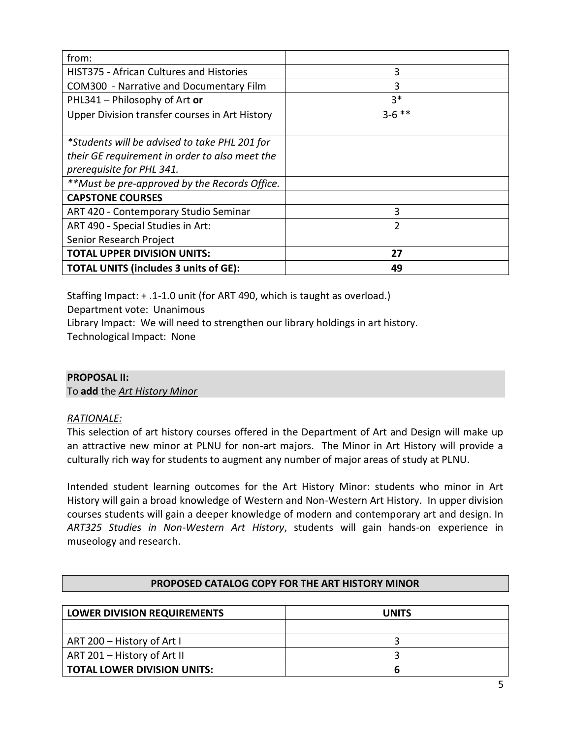| from:                                           |          |
|-------------------------------------------------|----------|
| <b>HIST375 - African Cultures and Histories</b> | 3        |
| COM300 - Narrative and Documentary Film         | 3        |
| PHL341 - Philosophy of Art or                   | $3*$     |
| Upper Division transfer courses in Art History  | $3-6$ ** |
|                                                 |          |
| *Students will be advised to take PHL 201 for   |          |
| their GE requirement in order to also meet the  |          |
| prerequisite for PHL 341.                       |          |
| **Must be pre-approved by the Records Office.   |          |
| <b>CAPSTONE COURSES</b>                         |          |
| ART 420 - Contemporary Studio Seminar           | 3        |
| ART 490 - Special Studies in Art:               | 2        |
| Senior Research Project                         |          |
| <b>TOTAL UPPER DIVISION UNITS:</b>              | 27       |
| <b>TOTAL UNITS (includes 3 units of GE):</b>    | 49       |

Staffing Impact: + .1-1.0 unit (for ART 490, which is taught as overload.)

Department vote: Unanimous

Library Impact: We will need to strengthen our library holdings in art history.

Technological Impact: None

# **PROPOSAL II:**

To **add** the *Art History Minor*

# *RATIONALE:*

This selection of art history courses offered in the Department of Art and Design will make up an attractive new minor at PLNU for non-art majors. The Minor in Art History will provide a culturally rich way for students to augment any number of major areas of study at PLNU.

Intended student learning outcomes for the Art History Minor: students who minor in Art History will gain a broad knowledge of Western and Non-Western Art History. In upper division courses students will gain a deeper knowledge of modern and contemporary art and design. In *ART325 Studies in Non-Western Art History*, students will gain hands-on experience in museology and research.

| PROPOSED CATALOG COPY FOR THE ART HISTORY MINOR |              |  |
|-------------------------------------------------|--------------|--|
|                                                 |              |  |
| <b>LOWER DIVISION REQUIREMENTS</b>              | <b>UNITS</b> |  |
|                                                 |              |  |
| ART 200 - History of Art I                      |              |  |
| ART 201 - History of Art II                     |              |  |
| <b>TOTAL LOWER DIVISION UNITS:</b><br>h         |              |  |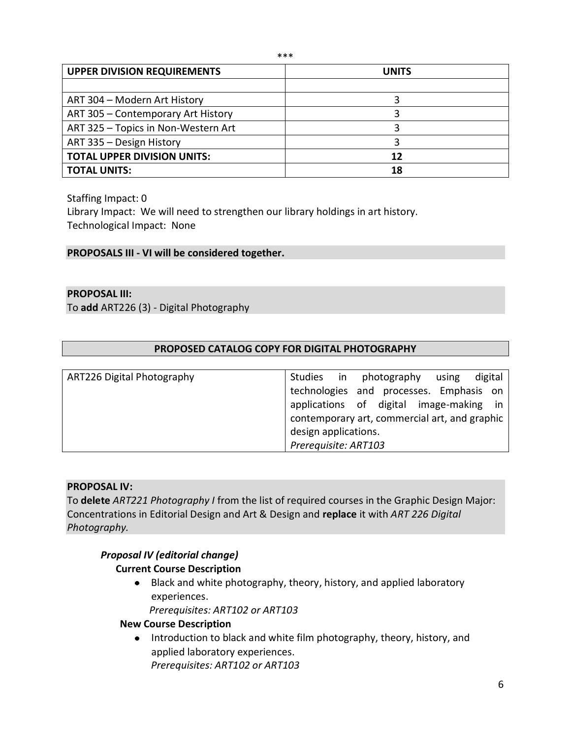| <b>UPPER DIVISION REQUIREMENTS</b>  | <b>UNITS</b> |  |
|-------------------------------------|--------------|--|
|                                     |              |  |
| ART 304 - Modern Art History        |              |  |
| ART 305 - Contemporary Art History  |              |  |
| ART 325 - Topics in Non-Western Art |              |  |
| ART 335 - Design History            |              |  |
| <b>TOTAL UPPER DIVISION UNITS:</b>  | 12           |  |
| <b>TOTAL UNITS:</b>                 | 18           |  |

Staffing Impact: 0

Library Impact: We will need to strengthen our library holdings in art history. Technological Impact: None

## **PROPOSALS III - VI will be considered together.**

#### **PROPOSAL III:**

To **add** ART226 (3) - Digital Photography

### **PROPOSED CATALOG COPY FOR DIGITAL PHOTOGRAPHY**

| ART226 Digital Photography | Studies in                                    | photography | using | digital |
|----------------------------|-----------------------------------------------|-------------|-------|---------|
|                            | technologies and processes. Emphasis on       |             |       |         |
|                            | applications of digital image-making in       |             |       |         |
|                            | contemporary art, commercial art, and graphic |             |       |         |
|                            | design applications.                          |             |       |         |
|                            | Prerequisite: ART103                          |             |       |         |

#### **PROPOSAL IV:**

To **delete** *ART221 Photography I* from the list of required courses in the Graphic Design Major: Concentrations in Editorial Design and Art & Design and **replace** it with *ART 226 Digital Photography.* 

## *Proposal IV (editorial change)*

## **Current Course Description**

Black and white photography, theory, history, and applied laboratory experiences.

*Prerequisites: ART102 or ART103*

# **New Course Description**

• Introduction to black and white film photography, theory, history, and applied laboratory experiences. *Prerequisites: ART102 or ART103*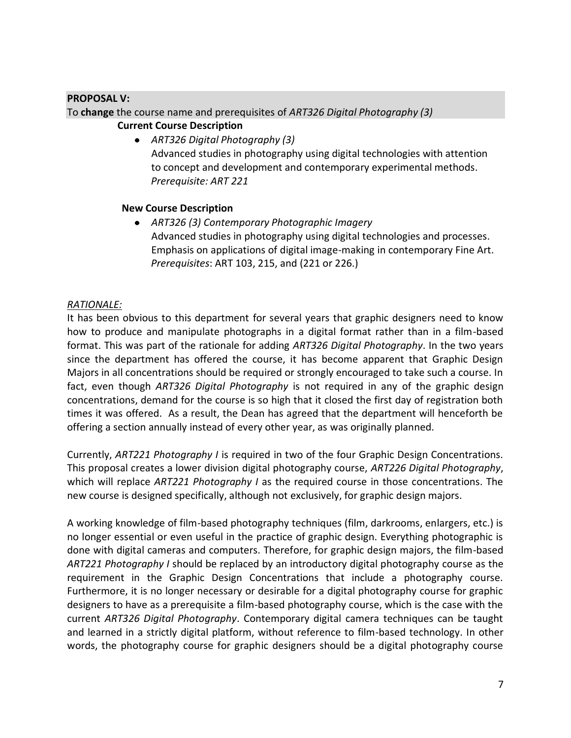## **PROPOSAL V:**

To **change** the course name and prerequisites of *ART326 Digital Photography (3)* **Current Course Description**

> *ART326 Digital Photography (3)* Advanced studies in photography using digital technologies with attention to concept and development and contemporary experimental methods. *Prerequisite: ART 221*

## **New Course Description**

*ART326 (3) Contemporary Photographic Imagery*  Advanced studies in photography using digital technologies and processes. Emphasis on applications of digital image-making in contemporary Fine Art. *Prerequisites*: ART 103, 215, and (221 or 226.)

## *RATIONALE:*

It has been obvious to this department for several years that graphic designers need to know how to produce and manipulate photographs in a digital format rather than in a film-based format. This was part of the rationale for adding *ART326 Digital Photography*. In the two years since the department has offered the course, it has become apparent that Graphic Design Majors in all concentrations should be required or strongly encouraged to take such a course. In fact, even though *ART326 Digital Photography* is not required in any of the graphic design concentrations, demand for the course is so high that it closed the first day of registration both times it was offered. As a result, the Dean has agreed that the department will henceforth be offering a section annually instead of every other year, as was originally planned.

Currently, *ART221 Photography I* is required in two of the four Graphic Design Concentrations. This proposal creates a lower division digital photography course, *ART226 Digital Photography*, which will replace *ART221 Photography I* as the required course in those concentrations. The new course is designed specifically, although not exclusively, for graphic design majors.

A working knowledge of film-based photography techniques (film, darkrooms, enlargers, etc.) is no longer essential or even useful in the practice of graphic design. Everything photographic is done with digital cameras and computers. Therefore, for graphic design majors, the film-based *ART221 Photography I* should be replaced by an introductory digital photography course as the requirement in the Graphic Design Concentrations that include a photography course. Furthermore, it is no longer necessary or desirable for a digital photography course for graphic designers to have as a prerequisite a film-based photography course, which is the case with the current *ART326 Digital Photography*. Contemporary digital camera techniques can be taught and learned in a strictly digital platform, without reference to film-based technology. In other words, the photography course for graphic designers should be a digital photography course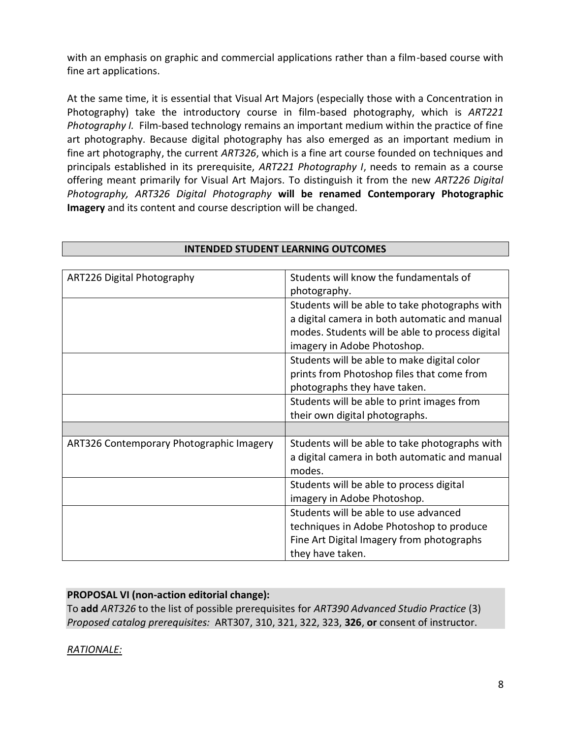with an emphasis on graphic and commercial applications rather than a film-based course with fine art applications.

At the same time, it is essential that Visual Art Majors (especially those with a Concentration in Photography) take the introductory course in film-based photography, which is *ART221 Photography I.* Film-based technology remains an important medium within the practice of fine art photography. Because digital photography has also emerged as an important medium in fine art photography, the current *ART326*, which is a fine art course founded on techniques and principals established in its prerequisite, *ART221 Photography I*, needs to remain as a course offering meant primarily for Visual Art Majors. To distinguish it from the new *ART226 Digital Photography, ART326 Digital Photography* **will be renamed Contemporary Photographic Imagery** and its content and course description will be changed.

| ART226 Digital Photography               | Students will know the fundamentals of          |
|------------------------------------------|-------------------------------------------------|
|                                          | photography.                                    |
|                                          | Students will be able to take photographs with  |
|                                          | a digital camera in both automatic and manual   |
|                                          | modes. Students will be able to process digital |
|                                          | imagery in Adobe Photoshop.                     |
|                                          | Students will be able to make digital color     |
|                                          | prints from Photoshop files that come from      |
|                                          | photographs they have taken.                    |
|                                          | Students will be able to print images from      |
|                                          | their own digital photographs.                  |
|                                          |                                                 |
| ART326 Contemporary Photographic Imagery | Students will be able to take photographs with  |
|                                          | a digital camera in both automatic and manual   |
|                                          | modes.                                          |
|                                          | Students will be able to process digital        |
|                                          | imagery in Adobe Photoshop.                     |
|                                          | Students will be able to use advanced           |
|                                          | techniques in Adobe Photoshop to produce        |
|                                          | Fine Art Digital Imagery from photographs       |
|                                          | they have taken.                                |

### **INTENDED STUDENT LEARNING OUTCOMES**

# **PROPOSAL VI (non-action editorial change):**

To **add** *ART326* to the list of possible prerequisites for *ART390 Advanced Studio Practice* (3) *Proposed catalog prerequisites:* ART307, 310, 321, 322, 323, **326**, **or** consent of instructor.

# *RATIONALE:*